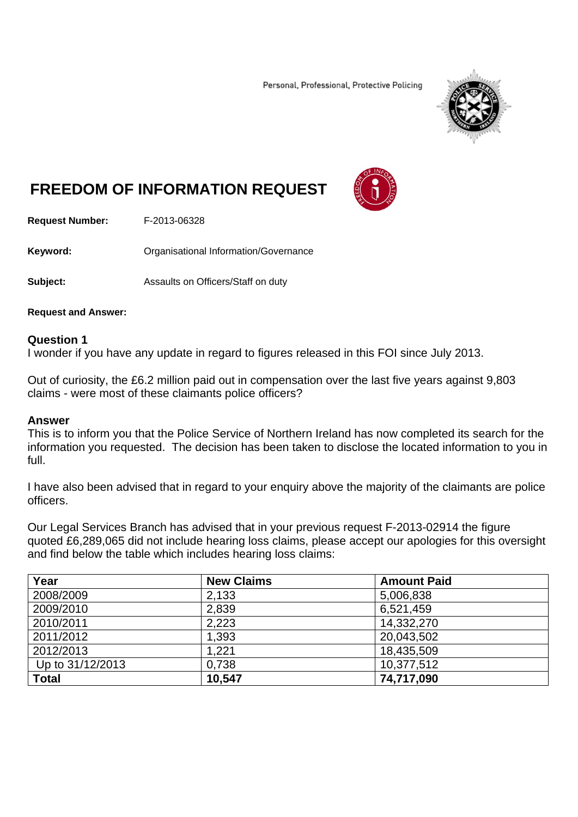Personal, Professional, Protective Policing



# **FREEDOM OF INFORMATION REQUEST**



**Request Number:** F-2013-06328

**Keyword:** Organisational Information/Governance

**Subject:** Assaults on Officers/Staff on duty

#### **Request and Answer:**

### **Question 1**

I wonder if you have any update in regard to figures released in this FOI since July 2013.

Out of curiosity, the £6.2 million paid out in compensation over the last five years against 9,803 claims - were most of these claimants police officers?

#### **Answer**

This is to inform you that the Police Service of Northern Ireland has now completed its search for the information you requested. The decision has been taken to disclose the located information to you in full.

I have also been advised that in regard to your enquiry above the majority of the claimants are police officers.

Our Legal Services Branch has advised that in your previous request F-2013-02914 the figure quoted £6,289,065 did not include hearing loss claims, please accept our apologies for this oversight and find below the table which includes hearing loss claims:

| Year             | <b>New Claims</b> | <b>Amount Paid</b> |
|------------------|-------------------|--------------------|
| 2008/2009        | 2,133             | 5,006,838          |
| 2009/2010        | 2,839             | 6,521,459          |
| 2010/2011        | 2,223             | 14,332,270         |
| 2011/2012        | 1,393             | 20,043,502         |
| 2012/2013        | 1,221             | 18,435,509         |
| Up to 31/12/2013 | 0,738             | 10,377,512         |
| <b>Total</b>     | 10,547            | 74,717,090         |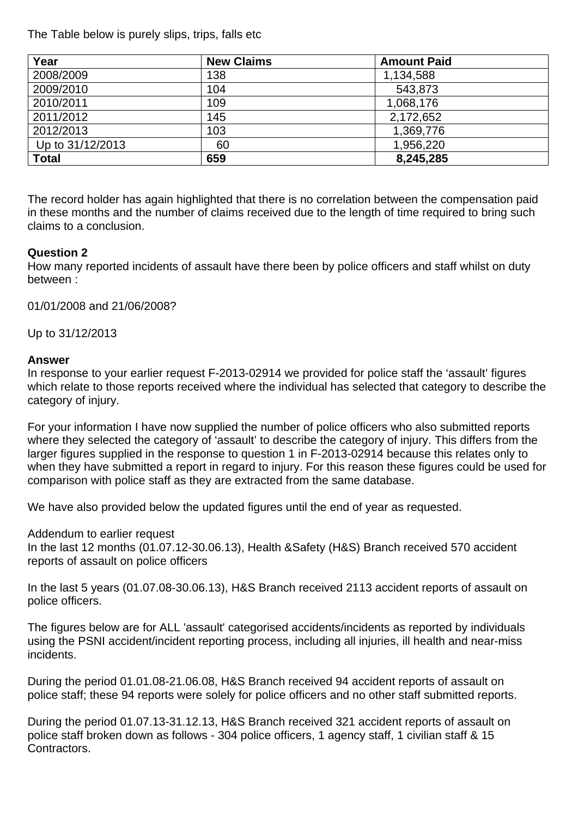The Table below is purely slips, trips, falls etc

| Year             | <b>New Claims</b> | <b>Amount Paid</b> |  |
|------------------|-------------------|--------------------|--|
| 2008/2009        | 138               | 1,134,588          |  |
| 2009/2010        | 104               | 543,873            |  |
| 2010/2011        | 109               | 1,068,176          |  |
| 2011/2012        | 145               | 2,172,652          |  |
| 2012/2013        | 103               | 1,369,776          |  |
| Up to 31/12/2013 | 60                | 1,956,220          |  |
| <b>Total</b>     | 659               | 8,245,285          |  |

The record holder has again highlighted that there is no correlation between the compensation paid in these months and the number of claims received due to the length of time required to bring such claims to a conclusion.

## **Question 2**

How many reported incidents of assault have there been by police officers and staff whilst on duty between :

01/01/2008 and 21/06/2008?

Up to 31/12/2013

### **Answer**

In response to your earlier request F-2013-02914 we provided for police staff the 'assault' figures which relate to those reports received where the individual has selected that category to describe the category of injury.

For your information I have now supplied the number of police officers who also submitted reports where they selected the category of 'assault' to describe the category of injury. This differs from the larger figures supplied in the response to question 1 in F-2013-02914 because this relates only to when they have submitted a report in regard to injury. For this reason these figures could be used for comparison with police staff as they are extracted from the same database.

We have also provided below the updated figures until the end of year as requested.

Addendum to earlier request In the last 12 months (01.07.12-30.06.13), Health &Safety (H&S) Branch received 570 accident reports of assault on police officers

In the last 5 years (01.07.08-30.06.13), H&S Branch received 2113 accident reports of assault on police officers.

The figures below are for ALL 'assault' categorised accidents/incidents as reported by individuals using the PSNI accident/incident reporting process, including all injuries, ill health and near-miss incidents.

During the period 01.01.08-21.06.08, H&S Branch received 94 accident reports of assault on police staff; these 94 reports were solely for police officers and no other staff submitted reports.

During the period 01.07.13-31.12.13, H&S Branch received 321 accident reports of assault on police staff broken down as follows - 304 police officers, 1 agency staff, 1 civilian staff & 15 Contractors.